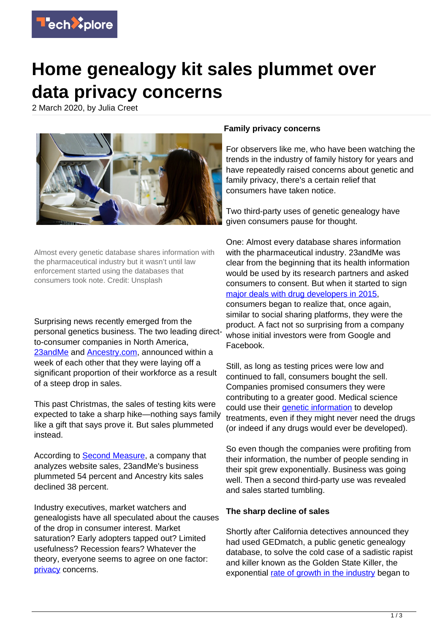

## **Home genealogy kit sales plummet over data privacy concerns**

2 March 2020, by Julia Creet



Almost every genetic database shares information with the pharmaceutical industry but it wasn't until law enforcement started using the databases that consumers took note. Credit: Unsplash

Surprising news recently emerged from the personal genetics business. The two leading directto-consumer companies in North America, [23andMe](https://www.cnbc.com/2020/01/23/23andme-lays-off-100-people-ceo-anne-wojcicki-explains-why.html) and [Ancestry.com](https://blogs.ancestry.com/ancestry/), announced within a week of each other that they were laying off a significant proportion of their workforce as a result of a steep drop in sales.

This past Christmas, the sales of testing kits were expected to take a sharp hike—nothing says family like a gift that says prove it. But sales plummeted instead.

According to **Second Measure**, a company that analyzes website sales, 23andMe's business plummeted 54 percent and Ancestry kits sales declined 38 percent.

Industry executives, market watchers and genealogists have all speculated about the causes of the drop in consumer interest. Market saturation? Early adopters tapped out? Limited usefulness? Recession fears? Whatever the theory, everyone seems to agree on one factor: [privacy](https://techxplore.com/tags/privacy/) concerns.

## **Family privacy concerns**

For observers like me, who have been watching the trends in the industry of family history for years and have repeatedly raised concerns about genetic and family privacy, there's a certain relief that consumers have taken notice.

Two third-party uses of genetic genealogy have given consumers pause for thought.

One: Almost every database shares information with the pharmaceutical industry. 23andMe was clear from the beginning that its health information would be used by its research partners and asked consumers to consent. But when it started to sign [major deals with drug developers in 2015](https://gizmodo.com/of-course-23andmes-business-plan-has-been-to-sell-your-1677810999), consumers began to realize that, once again, similar to social sharing platforms, they were the product. A fact not so surprising from a company whose initial investors were from Google and Facebook.

Still, as long as testing prices were low and continued to fall, consumers bought the sell. Companies promised consumers they were contributing to a greater good. Medical science could use their *genetic* information to develop treatments, even if they might never need the drugs (or indeed if any drugs would ever be developed).

So even though the companies were profiting from their information, the number of people sending in their spit grew exponentially. Business was going well. Then a second third-party use was revealed and sales started tumbling.

## **The sharp decline of sales**

Shortly after California detectives announced they had used GEDmatch, a public genetic genealogy database, to solve the cold case of a sadistic rapist and killer known as the Golden State Killer, the exponential [rate of growth in the industry](https://thednageek.com/genealogical-database-growth-slows/) began to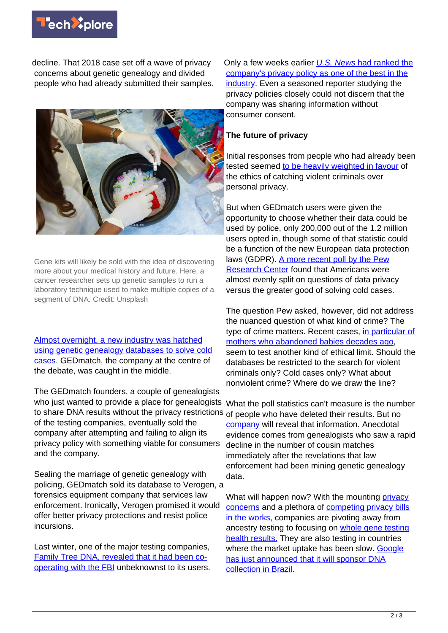

decline. That 2018 case set off a wave of privacy concerns about genetic genealogy and divided people who had already submitted their samples.



Gene kits will likely be sold with the idea of discovering more about your medical history and future. Here, a cancer researcher sets up genetic samples to run a laboratory technique used to make multiple copies of a segment of DNA. Credit: Unsplash

[Almost overnight, a new industry was hatched](https://www.prnewswire.com/news-releases/parabon-announces-snapshot-genetic-genealogy-service-for-law-enforcement-300644394.html) [using genetic genealogy databases to solve cold](https://www.prnewswire.com/news-releases/parabon-announces-snapshot-genetic-genealogy-service-for-law-enforcement-300644394.html) [cases](https://www.prnewswire.com/news-releases/parabon-announces-snapshot-genetic-genealogy-service-for-law-enforcement-300644394.html). GEDmatch, the company at the centre of the debate, was caught in the middle.

The GEDmatch founders, a couple of genealogists who just wanted to provide a place for genealogists to share DNA results without the privacy restrictions <sub>of people</sub> who have deleted their results. But no of the testing companies, eventually sold the company after attempting and failing to align its privacy policy with something viable for consumers and the company.

Sealing the marriage of genetic genealogy with policing, GEDmatch sold its database to Verogen, a forensics equipment company that services law enforcement. Ironically, Verogen promised it would offer better privacy protections and resist police incursions.

Last winter, one of the major testing companies, [Family Tree DNA, revealed that it had been co](https://www.buzzfeednews.com/article/salvadorhernandez/family-tree-dna-fbi-investigative-genealogy-privacy)[operating with the FBI](https://www.buzzfeednews.com/article/salvadorhernandez/family-tree-dna-fbi-investigative-genealogy-privacy) unbeknownst to its users. Only a few weeks earlier [U.S. News](https://health.usnews.com/wellness/articles/2019-01-07/best-dna-testing-kits) [had ranked the](https://health.usnews.com/wellness/articles/2019-01-07/best-dna-testing-kits) [company's privacy policy as one of the best in the](https://health.usnews.com/wellness/articles/2019-01-07/best-dna-testing-kits) [industry.](https://health.usnews.com/wellness/articles/2019-01-07/best-dna-testing-kits) Even a seasoned reporter studying the privacy policies closely could not discern that the company was sharing information without consumer consent.

## **The future of privacy**

Initial responses from people who had already been tested seemed [to be heavily weighted in favour](https://journals.plos.org/plosbiology/article?id=10.1371/journal.pbio.2006906) of the ethics of catching violent criminals over personal privacy.

But when GEDmatch users were given the opportunity to choose whether their data could be used by police, only 200,000 out of the 1.2 million users opted in, though some of that statistic could be a function of the new European data protection laws (GDPR). [A more recent poll by the Pew](https://www.pewresearch.org/fact-tank/2020/02/04/about-half-of-americans-are-ok-with-dna-testing-companies-sharing-user-data-with-law-enforcement/) [Research Center](https://www.pewresearch.org/fact-tank/2020/02/04/about-half-of-americans-are-ok-with-dna-testing-companies-sharing-user-data-with-law-enforcement/) found that Americans were almost evenly split on questions of data privacy versus the greater good of solving cold cases.

The question Pew asked, however, did not address the nuanced question of what kind of crime? The type of crime matters. Recent cases, [in particular of](https://www.theatlantic.com/science/archive/2019/03/38-years-later-dna-leads-to-teenager-who-abandoned-her-baby-in-a-ditch/584683/) [mothers who abandoned babies decades ago](https://www.theatlantic.com/science/archive/2019/03/38-years-later-dna-leads-to-teenager-who-abandoned-her-baby-in-a-ditch/584683/), seem to test another kind of ethical limit. Should the databases be restricted to the search for violent criminals only? Cold cases only? What about nonviolent crime? Where do we draw the line?

What the poll statistics can't measure is the number [company](https://techxplore.com/tags/company/) will reveal that information. Anecdotal evidence comes from genealogists who saw a rapid decline in the number of cousin matches immediately after the revelations that law enforcement had been mining genetic genealogy data.

What will happen now? With the mounting [privacy](https://techxplore.com/tags/privacy+concerns/) [concerns](https://techxplore.com/tags/privacy+concerns/) and a plethora of [competing privacy bills](https://fpf.org/2020/01/13/its-raining-privacy-bills-an-overview-of-the-washington-state-privacy-act-and-other-introduced-bills/) [in the works](https://fpf.org/2020/01/13/its-raining-privacy-bills-an-overview-of-the-washington-state-privacy-act-and-other-introduced-bills/), companies are pivoting away from ancestry testing to focusing on [whole gene testing](https://blog.nebula.org/30x-wgs/) [health results.](https://blog.nebula.org/30x-wgs/) They are also testing in countries where the market uptake has been slow. [Google](https://exame.abril.com.br/ciencia/atrasado-brasil-tera-seu-primeiro-mapeamento-genetico-da-populacao/) [has just announced that it will sponsor DNA](https://exame.abril.com.br/ciencia/atrasado-brasil-tera-seu-primeiro-mapeamento-genetico-da-populacao/) [collection in Brazil](https://exame.abril.com.br/ciencia/atrasado-brasil-tera-seu-primeiro-mapeamento-genetico-da-populacao/).